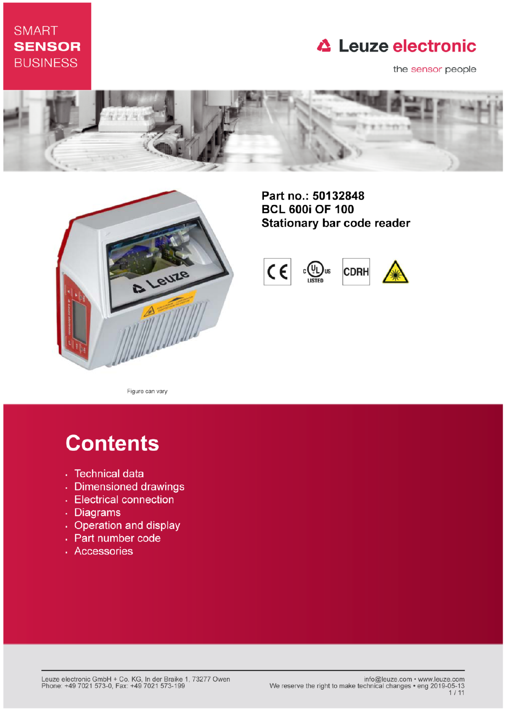# **SMART SENSOR BUSINESS**

# **△ Leuze electronic**

the sensor people





Part no.: 50132848 **BCL 600i OF 100 Stationary bar code reader** 



Figure can vary

# **Contents**

- · Technical data
- · Dimensioned drawings
- Electrical connection
- . Diagrams
- Operation and display
- Part number code
- · Accessories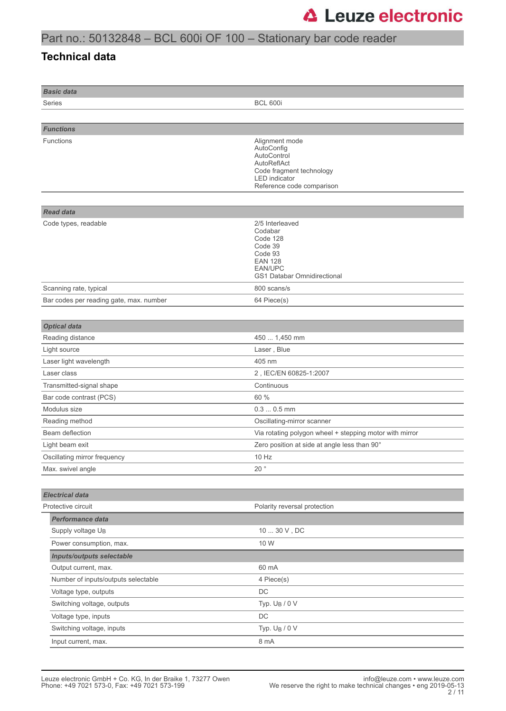### Part no.: 50132848 – BCL 600i OF 100 – Stationary bar code reader

#### **Technical data**

| <b>Basic data</b>                       |                                                                                                                                             |
|-----------------------------------------|---------------------------------------------------------------------------------------------------------------------------------------------|
| Series                                  | <b>BCL 600i</b>                                                                                                                             |
|                                         |                                                                                                                                             |
| <b>Functions</b>                        |                                                                                                                                             |
| <b>Functions</b>                        | Alignment mode<br>AutoConfig<br>AutoControl<br>AutoReflAct<br>Code fragment technology<br><b>LED</b> indicator<br>Reference code comparison |
|                                         |                                                                                                                                             |
| <b>Read data</b>                        |                                                                                                                                             |
| Code types, readable                    | 2/5 Interleaved<br>Codabar<br>Code 128<br>Code 39<br>Code 93<br><b>EAN 128</b><br><b>EAN/UPC</b><br><b>GS1 Databar Omnidirectional</b>      |
| Scanning rate, typical                  | 800 scans/s                                                                                                                                 |
| Bar codes per reading gate, max. number | 64 Piece(s)                                                                                                                                 |
|                                         |                                                                                                                                             |
| <b>Optical data</b>                     |                                                                                                                                             |
| Reading distance                        | 450  1,450 mm                                                                                                                               |
| Light source                            | Laser, Blue                                                                                                                                 |
| Laser light wavelength                  | 405 nm                                                                                                                                      |
| Laser class                             | 2, IEC/EN 60825-1:2007                                                                                                                      |
| Transmitted-signal shape                | Continuous                                                                                                                                  |
| Bar code contrast (PCS)                 | 60 %                                                                                                                                        |
| Modulus size                            | $0.30.5$ mm                                                                                                                                 |
| Reading method                          | Oscillating-mirror scanner                                                                                                                  |
| Beam deflection                         | Via rotating polygon wheel + stepping motor with mirror                                                                                     |
| Light beam exit                         | Zero position at side at angle less than 90°                                                                                                |
| Oscillating mirror frequency            | 10 Hz                                                                                                                                       |
| Max. swivel angle                       | 20 $^{\circ}$                                                                                                                               |
|                                         |                                                                                                                                             |
| <b>Electrical data</b>                  |                                                                                                                                             |
| Protective circuit                      | Polarity reversal protection                                                                                                                |
| Performance data                        |                                                                                                                                             |
| Supply voltage U <sub>B</sub>           | 10  30 V, DC                                                                                                                                |
| Power consumption, max.                 | 10 W                                                                                                                                        |
| <b>Inputs/outputs selectable</b>        |                                                                                                                                             |
| Output current, max.                    | 60 mA                                                                                                                                       |
| Number of inputs/outputs selectable     | 4 Piece(s)                                                                                                                                  |
| Voltage type, outputs                   | DC                                                                                                                                          |
| Switching voltage, outputs              | Typ. $U_B / 0 V$                                                                                                                            |
| Voltage type, inputs                    | DC                                                                                                                                          |
| Switching voltage, inputs               | Typ. U <sub>B</sub> / 0 V                                                                                                                   |
| Input current, max.                     | 8 mA                                                                                                                                        |
|                                         |                                                                                                                                             |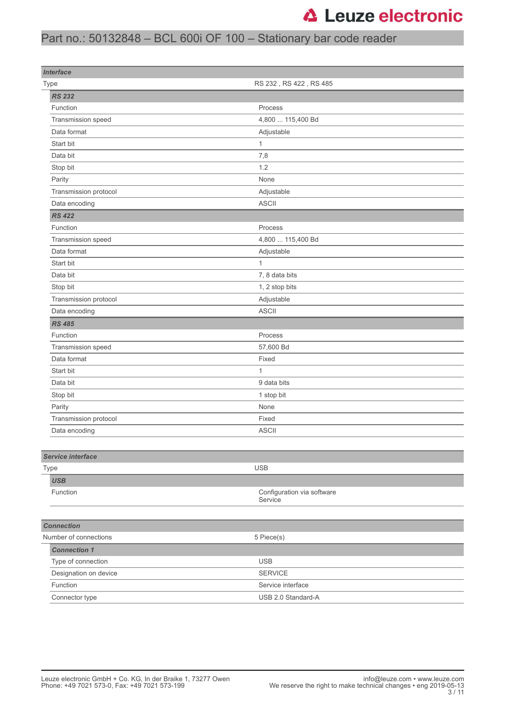### Part no.: 50132848 – BCL 600i OF 100 – Stationary bar code reader

| <b>Interface</b>         |                                       |
|--------------------------|---------------------------------------|
| Type                     | RS 232, RS 422, RS 485                |
| <b>RS 232</b>            |                                       |
| Function                 | Process                               |
| Transmission speed       | 4,800  115,400 Bd                     |
| Data format              | Adjustable                            |
| Start bit                | $\mathbf{1}$                          |
| Data bit                 | 7,8                                   |
| Stop bit                 | 1.2                                   |
| Parity                   | None                                  |
| Transmission protocol    | Adjustable                            |
| Data encoding            | <b>ASCII</b>                          |
| <b>RS 422</b>            |                                       |
| Function                 | Process                               |
| Transmission speed       | 4,800  115,400 Bd                     |
| Data format              | Adjustable                            |
| Start bit                | $\mathbf{1}$                          |
| Data bit                 | 7, 8 data bits                        |
| Stop bit                 | 1, 2 stop bits                        |
| Transmission protocol    | Adjustable                            |
| Data encoding            | <b>ASCII</b>                          |
| <b>RS 485</b>            |                                       |
| Function                 | Process                               |
| Transmission speed       | 57,600 Bd                             |
| Data format              | Fixed                                 |
| Start bit                | $\mathbf{1}$                          |
| Data bit                 | 9 data bits                           |
| Stop bit                 | 1 stop bit                            |
| Parity                   | None                                  |
| Transmission protocol    | Fixed                                 |
| Data encoding            | <b>ASCII</b>                          |
|                          |                                       |
| <b>Service interface</b> |                                       |
| Type                     | <b>USB</b>                            |
| <b>USB</b>               |                                       |
| Function                 | Configuration via software<br>Service |
|                          |                                       |
| <b>Connection</b>        |                                       |
| Number of connections    | 5 Piece(s)                            |
| <b>Connection 1</b>      |                                       |
| Type of connection       | <b>USB</b>                            |
| Designation on device    | <b>SERVICE</b>                        |
| Function                 | Service interface                     |
| Connector type           | USB 2.0 Standard-A                    |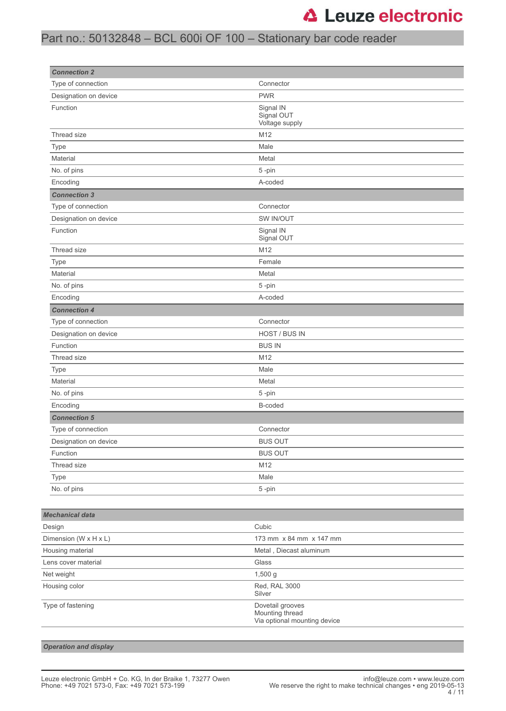### Part no.: 50132848 – BCL 600i OF 100 – Stationary bar code reader

| <b>Connection 2</b>    |                                           |  |
|------------------------|-------------------------------------------|--|
| Type of connection     | Connector                                 |  |
| Designation on device  | <b>PWR</b>                                |  |
| Function               | Signal IN<br>Signal OUT<br>Voltage supply |  |
| Thread size            | M12                                       |  |
| Type                   | Male                                      |  |
| Material               | Metal                                     |  |
| No. of pins            | 5-pin                                     |  |
| Encoding               | A-coded                                   |  |
| <b>Connection 3</b>    |                                           |  |
| Type of connection     | Connector                                 |  |
| Designation on device  | SW IN/OUT                                 |  |
| Function               | Signal IN<br>Signal OUT                   |  |
| Thread size            | M12                                       |  |
| Type                   | Female                                    |  |
| Material               | Metal                                     |  |
| No. of pins            | 5-pin                                     |  |
| Encoding               | A-coded                                   |  |
| <b>Connection 4</b>    |                                           |  |
| Type of connection     | Connector                                 |  |
| Designation on device  | HOST / BUS IN                             |  |
| Function               | <b>BUS IN</b>                             |  |
| Thread size            | M12                                       |  |
| Type                   | Male                                      |  |
| Material               | Metal                                     |  |
| No. of pins            | 5-pin                                     |  |
| Encoding               | B-coded                                   |  |
| <b>Connection 5</b>    |                                           |  |
| Type of connection     | Connector                                 |  |
| Designation on device  | <b>BUS OUT</b>                            |  |
| Function               | <b>BUS OUT</b>                            |  |
| Thread size            | M12                                       |  |
| Type                   | Male                                      |  |
| No. of pins            | 5-pin                                     |  |
|                        |                                           |  |
| <b>Mechanical data</b> |                                           |  |
| Design                 | Cubic                                     |  |
| Dimension (W x H x L)  | 173 mm x 84 mm x 147 mm                   |  |
| Housing material       | Metal, Diecast aluminum                   |  |
| Lens cover material    | Glass                                     |  |
| Net weight             | 1,500 g                                   |  |
| Housing color          | Red, RAL 3000<br>Silver                   |  |
| Type of fastening      | Dovetail grooves<br>Mounting thread       |  |

*Operation and display*

Via optional mounting device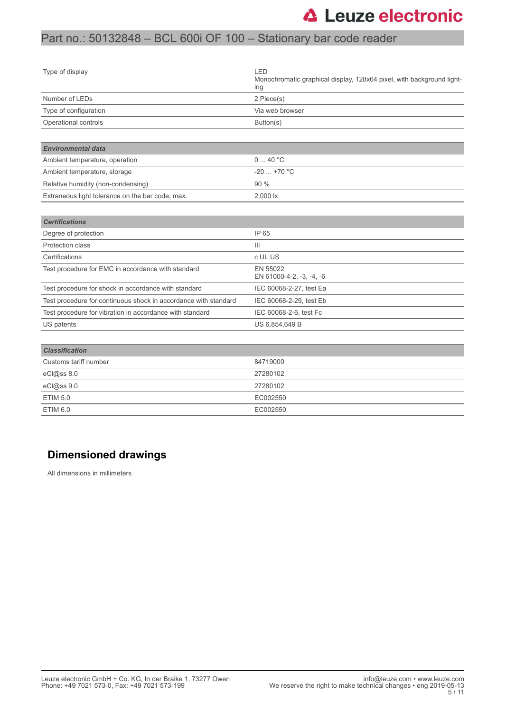### Part no.: 50132848 – BCL 600i OF 100 – Stationary bar code reader

| Type of display                                                 | LED<br>Monochromatic graphical display, 128x64 pixel, with background light-<br>ing |
|-----------------------------------------------------------------|-------------------------------------------------------------------------------------|
| Number of LEDs                                                  | 2 Piece(s)                                                                          |
| Type of configuration                                           | Via web browser                                                                     |
| Operational controls                                            | Button(s)                                                                           |
| <b>Environmental data</b>                                       |                                                                                     |
| Ambient temperature, operation                                  | 040 °C                                                                              |
| Ambient temperature, storage                                    | $-20+70$ °C                                                                         |
| Relative humidity (non-condensing)                              | 90 %                                                                                |
| Extraneous light tolerance on the bar code, max.                | 2,000 lx                                                                            |
| <b>Certifications</b>                                           |                                                                                     |
| Degree of protection                                            | IP 65                                                                               |
| Protection class                                                | $\mathbf{III}$                                                                      |
| Certifications                                                  | c UL US                                                                             |
| Test procedure for EMC in accordance with standard              | EN 55022<br>EN 61000-4-2, -3, -4, -6                                                |
| Test procedure for shock in accordance with standard            | IEC 60068-2-27, test Ea                                                             |
| Test procedure for continuous shock in accordance with standard | IEC 60068-2-29, test Eb                                                             |
| Test procedure for vibration in accordance with standard        | IEC 60068-2-6, test Fc                                                              |
| US patents                                                      | US 6,854,649 B                                                                      |
|                                                                 |                                                                                     |
| <b>Classification</b>                                           |                                                                                     |
| Customs tariff number                                           | 84719000                                                                            |
| eCl@ss 8.0                                                      | 27280102                                                                            |
| eCl@ss 9.0                                                      | 27280102                                                                            |
| <b>ETIM 5.0</b>                                                 | EC002550                                                                            |
| <b>ETIM 6.0</b>                                                 | EC002550                                                                            |

#### **Dimensioned drawings**

All dimensions in millimeters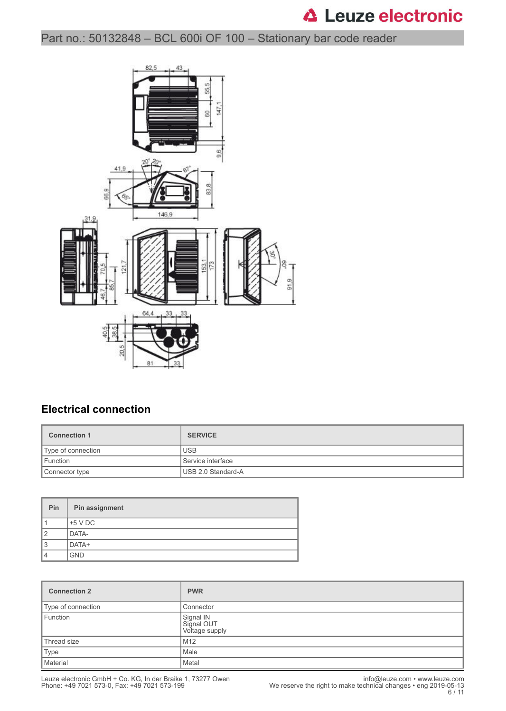### Part no.: 50132848 – BCL 600i OF 100 – Stationary bar code reader



#### **Electrical connection**

| <b>Connection 1</b> | <b>SERVICE</b>     |
|---------------------|--------------------|
| Type of connection  | <b>USB</b>         |
| Function            | Service interface  |
| Connector type      | USB 2.0 Standard-A |

| <b>Pin</b>     | Pin assignment |
|----------------|----------------|
|                | $+5$ V DC      |
| $\overline{2}$ | DATA-          |
| 3              | DATA+          |
| 4              | <b>GND</b>     |

| <b>Connection 2</b> | <b>PWR</b>                                |
|---------------------|-------------------------------------------|
| Type of connection  | Connector                                 |
| Function            | Signal IN<br>Signal OUT<br>Voltage supply |
| Thread size         | M12                                       |
| Type                | Male                                      |
| Material            | Metal                                     |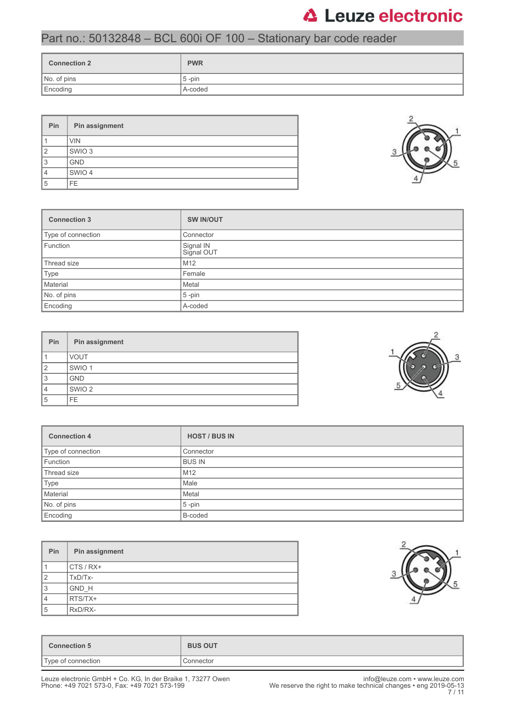### Part no.: 50132848 – BCL 600i OF 100 – Stationary bar code reader

| <b>Connection 2</b> | <b>PWR</b> |
|---------------------|------------|
| No. of pins         | $5$ -pin   |
| Encoding            | A-coded    |

| Pin            | Pin assignment    |
|----------------|-------------------|
|                | <b>VIN</b>        |
| $\overline{2}$ | SWIO <sub>3</sub> |
| 3              | <b>GND</b>        |
| 4              | SWIO 4            |
| 5              | FE.               |



| Pin | Pin assignment    |
|-----|-------------------|
|     | <b>VOUT</b>       |
| 2   | SWIO <sub>1</sub> |
| 3   | <b>GND</b>        |
|     | SWIO <sub>2</sub> |
| 5   | FE.               |

| <b>Connection 4</b> | <b>HOST / BUS IN</b> |
|---------------------|----------------------|
| Type of connection  | Connector            |
| Function            | <b>BUS IN</b>        |
| Thread size         | M12                  |
| Type                | Male                 |
| Material            | Metal                |
| No. of pins         | $5 - pin$            |
| Encoding            | B-coded              |

| <b>Pin</b>     | Pin assignment |
|----------------|----------------|
|                | $CTS/RX+$      |
| $\overline{2}$ | TxD/Tx-        |
| 3              | GND H          |
| $\overline{4}$ | RTS/TX+        |
| 5              | RxD/RX-        |



| <b>BUS OUT</b> |
|----------------|
| Connector      |
|                |



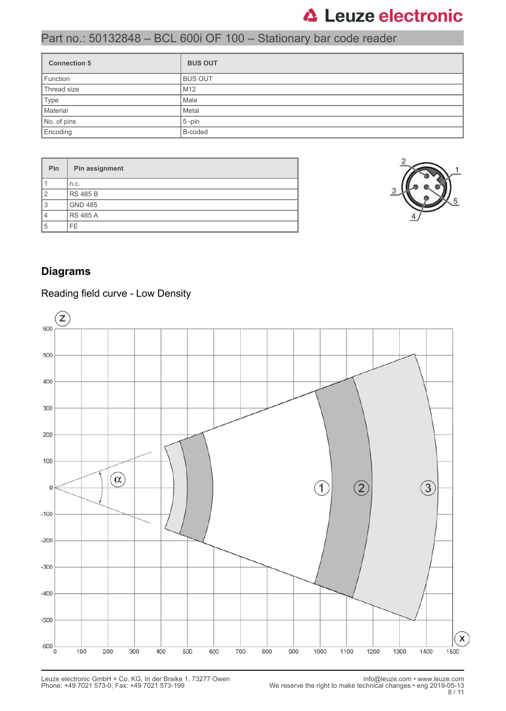### Part no.: 50132848 – BCL 600i OF 100 – Stationary bar code reader

| <b>Connection 5</b> | <b>BUS OUT</b>  |
|---------------------|-----------------|
| Function            | <b>BUS OUT</b>  |
| Thread size         | M <sub>12</sub> |
| Type                | Male            |
| Material            | Metal           |
| No. of pins         | $5 - pin$       |
| Encoding            | B-coded         |

| <b>Pin</b>     | Pin assignment  |
|----------------|-----------------|
|                | n.c.            |
| $\overline{2}$ | <b>RS 485 B</b> |
| 3              | <b>GND 485</b>  |
| 4              | <b>RS 485 A</b> |
| 5              | FE.             |



#### **Diagrams**

#### Reading field curve - Low Density

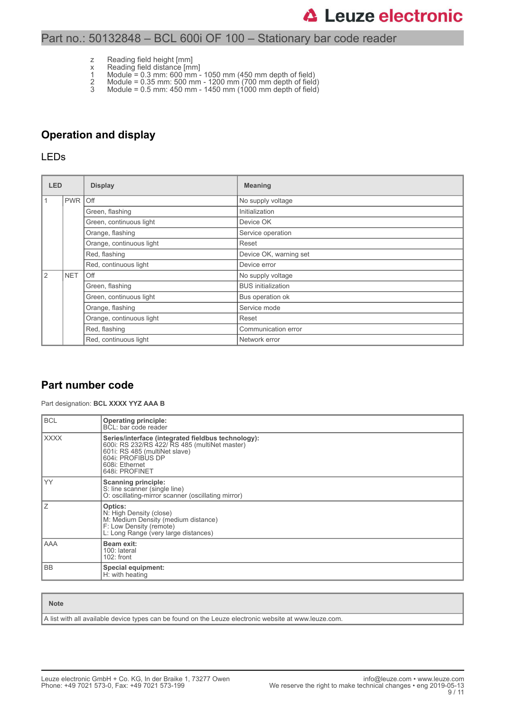#### Part no.: 50132848 – BCL 600i OF 100 – Stationary bar code reader

- z Reading field height [mm]
- x Reading field distance [mm]
- 1 Module = 0.3 mm: 600 mm 1050 mm (450 mm depth of field)
- 2 Module = 0.35 mm: 500 mm 1200 mm (700 mm depth of field) 3 Module = 0.5 mm: 450 mm - 1450 mm (1000 mm depth of field)

#### **Operation and display**

#### LEDs

| <b>LED</b> |            | <b>Display</b>           | <b>Meaning</b>            |
|------------|------------|--------------------------|---------------------------|
| l 1        | <b>PWR</b> | <b>Off</b>               | No supply voltage         |
|            |            | Green, flashing          | Initialization            |
|            |            | Green, continuous light  | Device OK                 |
|            |            | Orange, flashing         | Service operation         |
|            |            | Orange, continuous light | Reset                     |
|            |            | Red, flashing            | Device OK, warning set    |
|            |            | Red, continuous light    | Device error              |
| <u>2</u>   | <b>NET</b> | Off                      | No supply voltage         |
|            |            | Green, flashing          | <b>BUS</b> initialization |
|            |            | Green, continuous light  | Bus operation ok          |
|            |            | Orange, flashing         | Service mode              |
|            |            | Orange, continuous light | Reset                     |
|            |            | Red, flashing            | Communication error       |
|            |            | Red, continuous light    | Network error             |

#### **Part number code**

Part designation: **BCL XXXX YYZ AAA B**

| <b>BCL</b>  | <b>Operating principle:</b><br>BCL: bar code reader                                                                                                                                           |
|-------------|-----------------------------------------------------------------------------------------------------------------------------------------------------------------------------------------------|
| <b>XXXX</b> | Series/interface (integrated fieldbus technology):<br>600i: RS 232/RS 422/ RS 485 (multiNet master)<br>601i: RS 485 (multiNet slave)<br>604i: PROFIBUS DP<br>608i: Ethernet<br>648i: PROFINET |
| YY          | <b>Scanning principle:</b><br>S: line scanner (single line)<br>O: oscillating-mirror scanner (oscillating mirror)                                                                             |
| ΙZ          | Optics:<br>N: High Density (close)<br>M: Medium Density (medium distance)<br>F: Low Density (remote)<br>L: Long Range (very large distances)                                                  |
| l AAA       | Beam exit:<br>100: lateral<br>$102:$ front                                                                                                                                                    |
| l BB        | Special equipment:<br>H: with heating                                                                                                                                                         |

| <b>Note</b>                                                                                           |
|-------------------------------------------------------------------------------------------------------|
| A list with all available device types can be found on the Leuze electronic website at www.leuze.com. |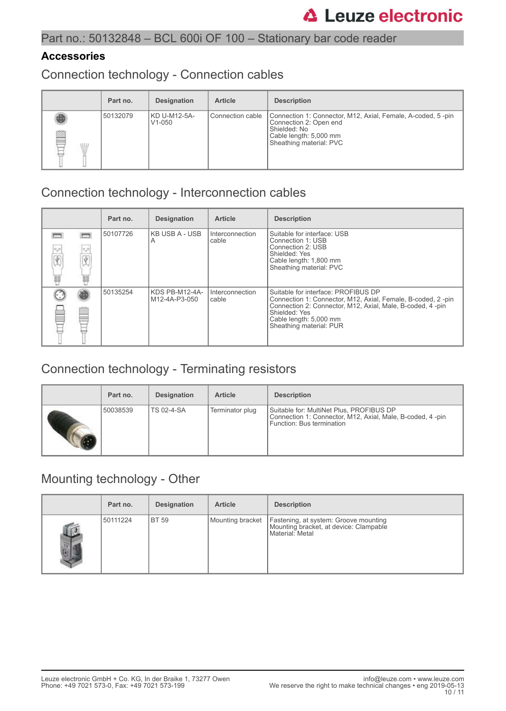#### **Accessories**

Connection technology - Connection cables

|   | Part no. | <b>Designation</b>         | <b>Article</b>     | <b>Description</b>                                                                                                                                         |
|---|----------|----------------------------|--------------------|------------------------------------------------------------------------------------------------------------------------------------------------------------|
| ß | 50132079 | KD U-M12-5A-<br>$V1 - 050$ | l Connection cable | Connection 1: Connector, M12, Axial, Female, A-coded, 5-pin<br>Connection 2: Open end<br>Shielded: No<br>Cable length: 5,000 mm<br>Sheathing material: PVC |

# Connection technology - Interconnection cables

|                |                       | Part no. | <b>Designation</b>              | <b>Article</b>           | <b>Description</b>                                                                                                                                                                                                                     |
|----------------|-----------------------|----------|---------------------------------|--------------------------|----------------------------------------------------------------------------------------------------------------------------------------------------------------------------------------------------------------------------------------|
| 0,0<br>Ÿ.<br>最 | $\sigma_{\rm m}$<br>諨 | 50107726 | <b>KB USB A - USB</b><br>A      | Interconnection<br>cable | Suitable for interface: USB<br>Connection 1: USB<br>Connection 2: USB<br>Shielded: Yes<br>Cable length: 1,800 mm<br>Sheathing material: PVC                                                                                            |
|                |                       | 50135254 | KDS PB-M12-4A-<br>M12-4A-P3-050 | Interconnection<br>cable | Suitable for interface: PROFIBUS DP<br>Connection 1: Connector, M12, Axial, Female, B-coded, 2-pin<br>Connection 2: Connector, M12, Axial, Male, B-coded, 4 -pin<br>Shielded: Yes<br>Cable length: 5,000 mm<br>Sheathing material: PUR |

# Connection technology - Terminating resistors

| Part no. | <b>Designation</b> | <b>Article</b>  | <b>Description</b>                                                                                                                 |
|----------|--------------------|-----------------|------------------------------------------------------------------------------------------------------------------------------------|
| 50038539 | <b>TS 02-4-SA</b>  | Terminator plug | Suitable for: MultiNet Plus, PROFIBUS DP<br>Connection 1: Connector, M12, Axial, Male, B-coded, 4-pin<br>Function: Bus termination |

### Mounting technology - Other

|                | Part no. | <b>Designation</b> | <b>Article</b>   | <b>Description</b>                                                                                 |
|----------------|----------|--------------------|------------------|----------------------------------------------------------------------------------------------------|
| $\mathbb{R}^2$ | 50111224 | I BT 59            | Mounting bracket | Fastening, at system: Groove mounting<br>Mounting bracket, at device: Clampable<br>Material: Metal |